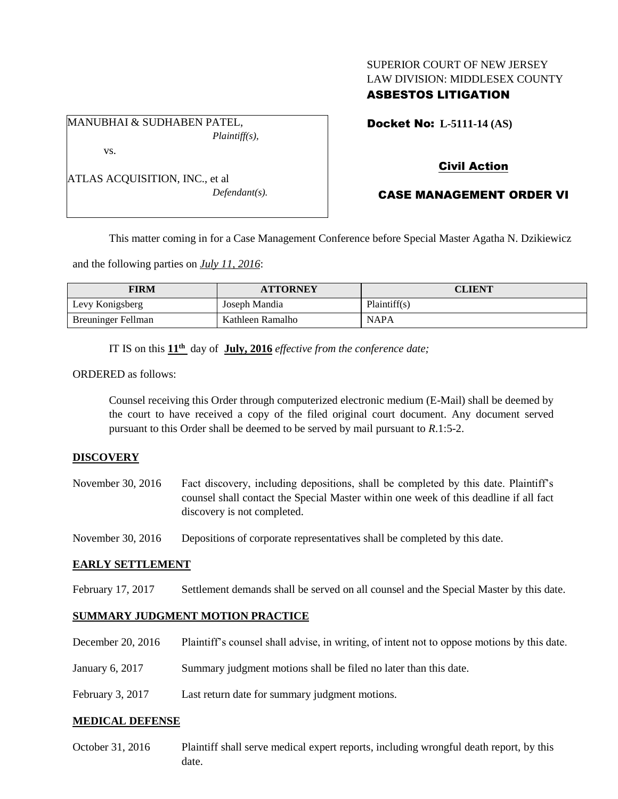## SUPERIOR COURT OF NEW JERSEY LAW DIVISION: MIDDLESEX COUNTY ASBESTOS LITIGATION

MANUBHAI & SUDHABEN PATEL, *Plaintiff(s),* vs.

Docket No: **L-5111-14 (AS)** 

# Civil Action

ATLAS ACQUISITION, INC., et al *Defendant(s).*

CASE MANAGEMENT ORDER VI

This matter coming in for a Case Management Conference before Special Master Agatha N. Dzikiewicz

and the following parties on *July 11, 2016*:

| FIRM               | <b>ATTORNEY</b>  | CLIENT       |
|--------------------|------------------|--------------|
| Levy Konigsberg    | Joseph Mandia    | Plaintiff(s) |
| Breuninger Fellman | Kathleen Ramalho | <b>NAPA</b>  |

IT IS on this **11th** day of **July, 2016** *effective from the conference date;*

ORDERED as follows:

Counsel receiving this Order through computerized electronic medium (E-Mail) shall be deemed by the court to have received a copy of the filed original court document. Any document served pursuant to this Order shall be deemed to be served by mail pursuant to *R*.1:5-2.

### **DISCOVERY**

| November 30, 2016 | Fact discovery, including depositions, shall be completed by this date. Plaintiff's   |
|-------------------|---------------------------------------------------------------------------------------|
|                   | counsel shall contact the Special Master within one week of this deadline if all fact |
|                   | discovery is not completed.                                                           |

November 30, 2016 Depositions of corporate representatives shall be completed by this date.

### **EARLY SETTLEMENT**

February 17, 2017 Settlement demands shall be served on all counsel and the Special Master by this date.

### **SUMMARY JUDGMENT MOTION PRACTICE**

| December 20, 2016 | Plaintiff's counsel shall advise, in writing, of intent not to oppose motions by this date. |
|-------------------|---------------------------------------------------------------------------------------------|
| January 6, $2017$ | Summary judgment motions shall be filed no later than this date.                            |
| February 3, 2017  | Last return date for summary judgment motions.                                              |

### **MEDICAL DEFENSE**

October 31, 2016 Plaintiff shall serve medical expert reports, including wrongful death report, by this date.